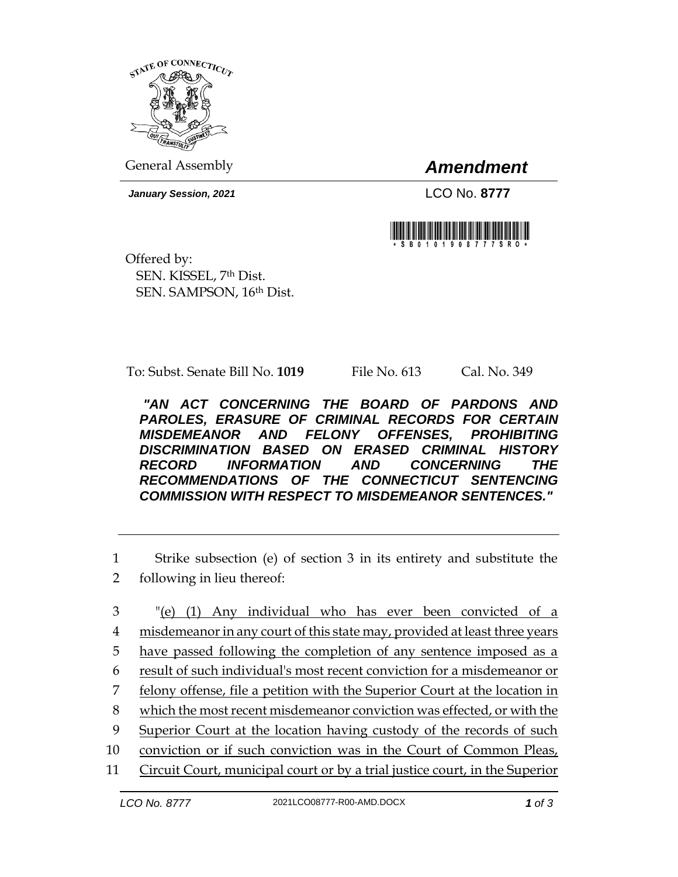

General Assembly *Amendment*

*January Session, 2021* LCO No. **8777**



Offered by: SEN. KISSEL, 7th Dist. SEN. SAMPSON, 16th Dist.

To: Subst. Senate Bill No. **1019** File No. 613 Cal. No. 349

*"AN ACT CONCERNING THE BOARD OF PARDONS AND PAROLES, ERASURE OF CRIMINAL RECORDS FOR CERTAIN MISDEMEANOR AND FELONY OFFENSES, PROHIBITING DISCRIMINATION BASED ON ERASED CRIMINAL HISTORY RECORD INFORMATION AND CONCERNING THE RECOMMENDATIONS OF THE CONNECTICUT SENTENCING COMMISSION WITH RESPECT TO MISDEMEANOR SENTENCES."* 

1 Strike subsection (e) of section 3 in its entirety and substitute the 2 following in lieu thereof:

 "(e) (1) Any individual who has ever been convicted of a misdemeanor in any court of this state may, provided at least three years have passed following the completion of any sentence imposed as a result of such individual's most recent conviction for a misdemeanor or 7 felony offense, file a petition with the Superior Court at the location in which the most recent misdemeanor conviction was effected, or with the Superior Court at the location having custody of the records of such conviction or if such conviction was in the Court of Common Pleas, Circuit Court, municipal court or by a trial justice court, in the Superior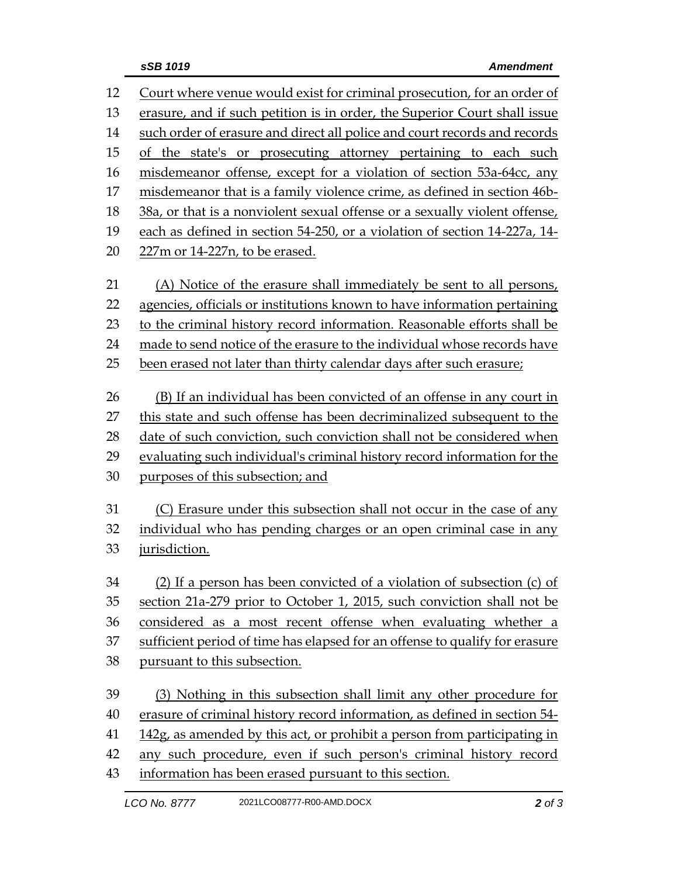| 12 | Court where venue would exist for criminal prosecution, for an order of     |
|----|-----------------------------------------------------------------------------|
| 13 | erasure, and if such petition is in order, the Superior Court shall issue   |
| 14 | such order of erasure and direct all police and court records and records   |
| 15 | of the state's or prosecuting attorney pertaining to each such              |
| 16 | misdemeanor offense, except for a violation of section 53a-64cc, any        |
| 17 | misdemeanor that is a family violence crime, as defined in section 46b-     |
| 18 | 38a, or that is a nonviolent sexual offense or a sexually violent offense,  |
| 19 | each as defined in section 54-250, or a violation of section 14-227a, 14-   |
| 20 | 227m or 14-227n, to be erased.                                              |
| 21 | (A) Notice of the erasure shall immediately be sent to all persons,         |
| 22 | agencies, officials or institutions known to have information pertaining    |
| 23 | to the criminal history record information. Reasonable efforts shall be     |
| 24 | made to send notice of the erasure to the individual whose records have     |
| 25 | been erased not later than thirty calendar days after such erasure;         |
| 26 | (B) If an individual has been convicted of an offense in any court in       |
| 27 | this state and such offense has been decriminalized subsequent to the       |
| 28 | date of such conviction, such conviction shall not be considered when       |
| 29 | evaluating such individual's criminal history record information for the    |
| 30 | purposes of this subsection; and                                            |
| 31 | (C) Erasure under this subsection shall not occur in the case of any        |
| 32 | individual who has pending charges or an open criminal case in any          |
| 33 | jurisdiction.                                                               |
| 34 | (2) If a person has been convicted of a violation of subsection (c) of      |
| 35 | section 21a-279 prior to October 1, 2015, such conviction shall not be      |
| 36 | considered as a most recent offense when evaluating whether a               |
| 37 | sufficient period of time has elapsed for an offense to qualify for erasure |
| 38 | pursuant to this subsection.                                                |
| 39 | (3) Nothing in this subsection shall limit any other procedure for          |
| 40 | erasure of criminal history record information, as defined in section 54-   |
| 41 | 142g, as amended by this act, or prohibit a person from participating in    |
| 42 | any such procedure, even if such person's criminal history record           |
| 43 | information has been erased pursuant to this section.                       |